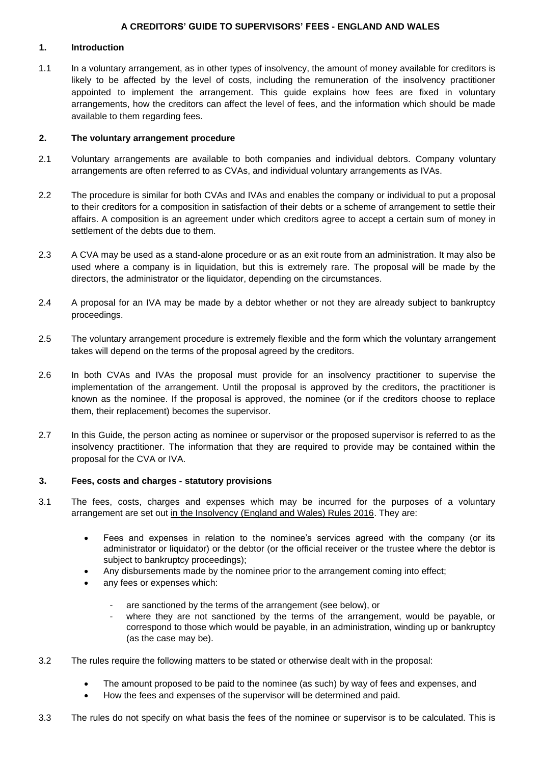# **1. Introduction**

1.1 In a voluntary arrangement, as in other types of insolvency, the amount of money available for creditors is likely to be affected by the level of costs, including the remuneration of the insolvency practitioner appointed to implement the arrangement. This guide explains how fees are fixed in voluntary arrangements, how the creditors can affect the level of fees, and the information which should be made available to them regarding fees.

# **2. The voluntary arrangement procedure**

- 2.1 Voluntary arrangements are available to both companies and individual debtors. Company voluntary arrangements are often referred to as CVAs, and individual voluntary arrangements as IVAs.
- 2.2 The procedure is similar for both CVAs and IVAs and enables the company or individual to put a proposal to their creditors for a composition in satisfaction of their debts or a scheme of arrangement to settle their affairs. A composition is an agreement under which creditors agree to accept a certain sum of money in settlement of the debts due to them.
- 2.3 A CVA may be used as a stand-alone procedure or as an exit route from an administration. It may also be used where a company is in liquidation, but this is extremely rare. The proposal will be made by the directors, the administrator or the liquidator, depending on the circumstances.
- 2.4 A proposal for an IVA may be made by a debtor whether or not they are already subject to bankruptcy proceedings.
- 2.5 The voluntary arrangement procedure is extremely flexible and the form which the voluntary arrangement takes will depend on the terms of the proposal agreed by the creditors.
- 2.6 In both CVAs and IVAs the proposal must provide for an insolvency practitioner to supervise the implementation of the arrangement. Until the proposal is approved by the creditors, the practitioner is known as the nominee. If the proposal is approved, the nominee (or if the creditors choose to replace them, their replacement) becomes the supervisor.
- 2.7 In this Guide, the person acting as nominee or supervisor or the proposed supervisor is referred to as the insolvency practitioner. The information that they are required to provide may be contained within the proposal for the CVA or IVA.

#### **3. Fees, costs and charges - statutory provisions**

- 3.1 The fees, costs, charges and expenses which may be incurred for the purposes of a voluntary arrangement are set out [in the Insolvency \(England and Wales\) Rules 2016.](https://www.legislation.gov.uk/uksi/2016/1024/contents/made) They are:
	- Fees and expenses in relation to the nominee's services agreed with the company (or its administrator or liquidator) or the debtor (or the official receiver or the trustee where the debtor is subject to bankruptcy proceedings);
	- Any disbursements made by the nominee prior to the arrangement coming into effect;
	- any fees or expenses which:
		- are sanctioned by the terms of the arrangement (see below), or
		- where they are not sanctioned by the terms of the arrangement, would be payable, or correspond to those which would be payable, in an administration, winding up or bankruptcy (as the case may be).
- 3.2 The rules require the following matters to be stated or otherwise dealt with in the proposal:
	- The amount proposed to be paid to the nominee (as such) by way of fees and expenses, and
	- How the fees and expenses of the supervisor will be determined and paid.
- 3.3 The rules do not specify on what basis the fees of the nominee or supervisor is to be calculated. This is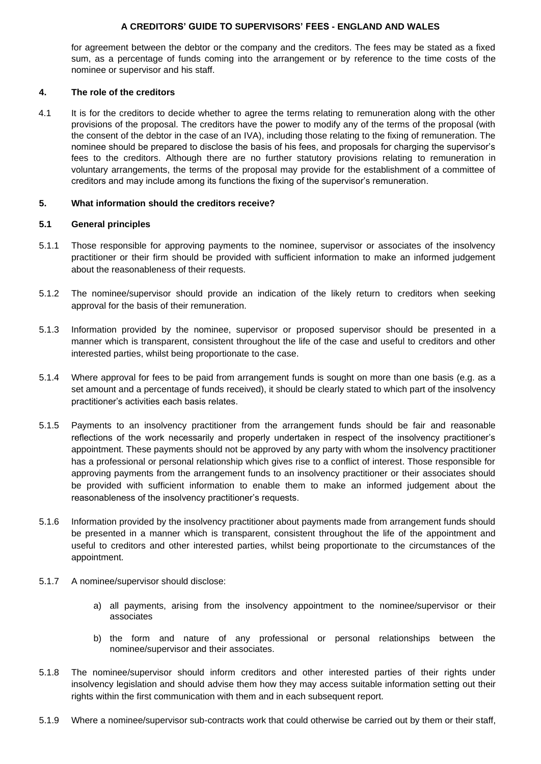for agreement between the debtor or the company and the creditors. The fees may be stated as a fixed sum, as a percentage of funds coming into the arrangement or by reference to the time costs of the nominee or supervisor and his staff.

### **4. The role of the creditors**

4.1 It is for the creditors to decide whether to agree the terms relating to remuneration along with the other provisions of the proposal. The creditors have the power to modify any of the terms of the proposal (with the consent of the debtor in the case of an IVA), including those relating to the fixing of remuneration. The nominee should be prepared to disclose the basis of his fees, and proposals for charging the supervisor's fees to the creditors. Although there are no further statutory provisions relating to remuneration in voluntary arrangements, the terms of the proposal may provide for the establishment of a committee of creditors and may include among its functions the fixing of the supervisor's remuneration.

# **5. What information should the creditors receive?**

### **5.1 General principles**

- 5.1.1 Those responsible for approving payments to the nominee, supervisor or associates of the insolvency practitioner or their firm should be provided with sufficient information to make an informed judgement about the reasonableness of their requests.
- 5.1.2 The nominee/supervisor should provide an indication of the likely return to creditors when seeking approval for the basis of their remuneration.
- 5.1.3 Information provided by the nominee, supervisor or proposed supervisor should be presented in a manner which is transparent, consistent throughout the life of the case and useful to creditors and other interested parties, whilst being proportionate to the case.
- 5.1.4 Where approval for fees to be paid from arrangement funds is sought on more than one basis (e.g. as a set amount and a percentage of funds received), it should be clearly stated to which part of the insolvency practitioner's activities each basis relates.
- 5.1.5 Payments to an insolvency practitioner from the arrangement funds should be fair and reasonable reflections of the work necessarily and properly undertaken in respect of the insolvency practitioner's appointment. These payments should not be approved by any party with whom the insolvency practitioner has a professional or personal relationship which gives rise to a conflict of interest. Those responsible for approving payments from the arrangement funds to an insolvency practitioner or their associates should be provided with sufficient information to enable them to make an informed judgement about the reasonableness of the insolvency practitioner's requests.
- 5.1.6 Information provided by the insolvency practitioner about payments made from arrangement funds should be presented in a manner which is transparent, consistent throughout the life of the appointment and useful to creditors and other interested parties, whilst being proportionate to the circumstances of the appointment.
- 5.1.7 A nominee/supervisor should disclose:
	- a) all payments, arising from the insolvency appointment to the nominee/supervisor or their associates
	- b) the form and nature of any professional or personal relationships between the nominee/supervisor and their associates.
- 5.1.8 The nominee/supervisor should inform creditors and other interested parties of their rights under insolvency legislation and should advise them how they may access suitable information setting out their rights within the first communication with them and in each subsequent report.
- 5.1.9 Where a nominee/supervisor sub-contracts work that could otherwise be carried out by them or their staff,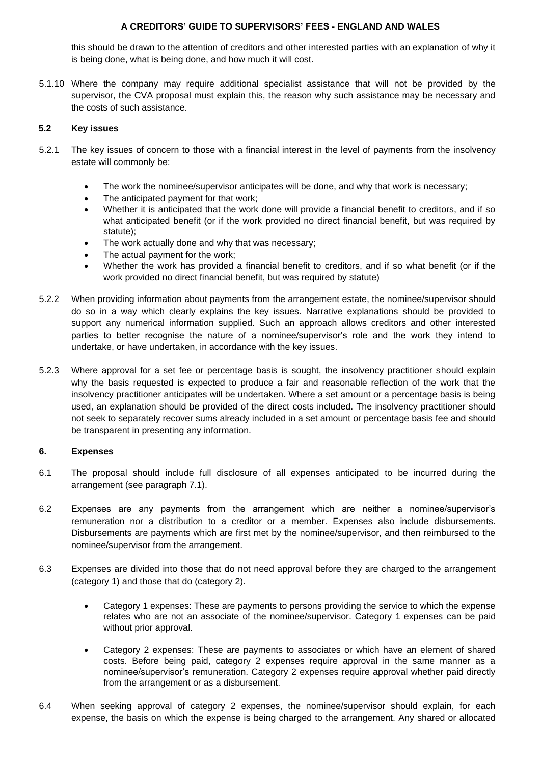this should be drawn to the attention of creditors and other interested parties with an explanation of why it is being done, what is being done, and how much it will cost.

5.1.10 Where the company may require additional specialist assistance that will not be provided by the supervisor, the CVA proposal must explain this, the reason why such assistance may be necessary and the costs of such assistance.

### **5.2 Key issues**

- 5.2.1 The key issues of concern to those with a financial interest in the level of payments from the insolvency estate will commonly be:
	- The work the nominee/supervisor anticipates will be done, and why that work is necessary;
	- The anticipated payment for that work;
	- Whether it is anticipated that the work done will provide a financial benefit to creditors, and if so what anticipated benefit (or if the work provided no direct financial benefit, but was required by statute);
	- The work actually done and why that was necessary;
	- The actual payment for the work;
	- Whether the work has provided a financial benefit to creditors, and if so what benefit (or if the work provided no direct financial benefit, but was required by statute)
- 5.2.2 When providing information about payments from the arrangement estate, the nominee/supervisor should do so in a way which clearly explains the key issues. Narrative explanations should be provided to support any numerical information supplied. Such an approach allows creditors and other interested parties to better recognise the nature of a nominee/supervisor's role and the work they intend to undertake, or have undertaken, in accordance with the key issues.
- 5.2.3 Where approval for a set fee or percentage basis is sought, the insolvency practitioner should explain why the basis requested is expected to produce a fair and reasonable reflection of the work that the insolvency practitioner anticipates will be undertaken. Where a set amount or a percentage basis is being used, an explanation should be provided of the direct costs included. The insolvency practitioner should not seek to separately recover sums already included in a set amount or percentage basis fee and should be transparent in presenting any information.

#### **6. Expenses**

- 6.1 The proposal should include full disclosure of all expenses anticipated to be incurred during the arrangement (see paragraph 7.1).
- 6.2 Expenses are any payments from the arrangement which are neither a nominee/supervisor's remuneration nor a distribution to a creditor or a member. Expenses also include disbursements. Disbursements are payments which are first met by the nominee/supervisor, and then reimbursed to the nominee/supervisor from the arrangement.
- 6.3 Expenses are divided into those that do not need approval before they are charged to the arrangement (category 1) and those that do (category 2).
	- Category 1 expenses: These are payments to persons providing the service to which the expense relates who are not an associate of the nominee/supervisor. Category 1 expenses can be paid without prior approval.
	- Category 2 expenses: These are payments to associates or which have an element of shared costs. Before being paid, category 2 expenses require approval in the same manner as a nominee/supervisor's remuneration. Category 2 expenses require approval whether paid directly from the arrangement or as a disbursement.
- 6.4 When seeking approval of category 2 expenses, the nominee/supervisor should explain, for each expense, the basis on which the expense is being charged to the arrangement. Any shared or allocated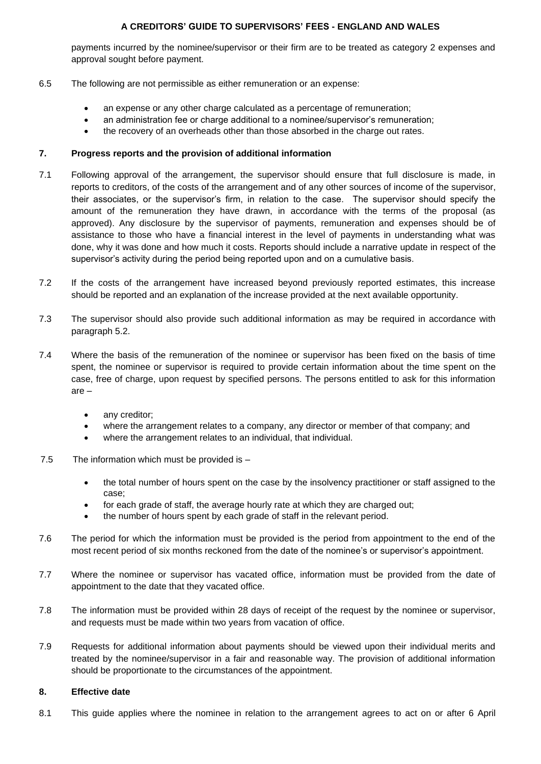payments incurred by the nominee/supervisor or their firm are to be treated as category 2 expenses and approval sought before payment.

#### 6.5 The following are not permissible as either remuneration or an expense:

- an expense or any other charge calculated as a percentage of remuneration;
- an administration fee or charge additional to a nominee/supervisor's remuneration;
- the recovery of an overheads other than those absorbed in the charge out rates.

# **7. Progress reports and the provision of additional information**

- 7.1 Following approval of the arrangement, the supervisor should ensure that full disclosure is made, in reports to creditors, of the costs of the arrangement and of any other sources of income of the supervisor, their associates, or the supervisor's firm, in relation to the case. The supervisor should specify the amount of the remuneration they have drawn, in accordance with the terms of the proposal (as approved). Any disclosure by the supervisor of payments, remuneration and expenses should be of assistance to those who have a financial interest in the level of payments in understanding what was done, why it was done and how much it costs. Reports should include a narrative update in respect of the supervisor's activity during the period being reported upon and on a cumulative basis.
- 7.2 If the costs of the arrangement have increased beyond previously reported estimates, this increase should be reported and an explanation of the increase provided at the next available opportunity.
- 7.3 The supervisor should also provide such additional information as may be required in accordance with paragraph 5.2.
- 7.4 Where the basis of the remuneration of the nominee or supervisor has been fixed on the basis of time spent, the nominee or supervisor is required to provide certain information about the time spent on the case, free of charge, upon request by specified persons. The persons entitled to ask for this information are –
	- any creditor;
	- where the arrangement relates to a company, any director or member of that company; and
	- where the arrangement relates to an individual, that individual.
- 7.5 The information which must be provided is
	- the total number of hours spent on the case by the insolvency practitioner or staff assigned to the case;
	- for each grade of staff, the average hourly rate at which they are charged out;
	- the number of hours spent by each grade of staff in the relevant period.
- 7.6 The period for which the information must be provided is the period from appointment to the end of the most recent period of six months reckoned from the date of the nominee's or supervisor's appointment.
- 7.7 Where the nominee or supervisor has vacated office, information must be provided from the date of appointment to the date that they vacated office.
- 7.8 The information must be provided within 28 days of receipt of the request by the nominee or supervisor, and requests must be made within two years from vacation of office.
- 7.9 Requests for additional information about payments should be viewed upon their individual merits and treated by the nominee/supervisor in a fair and reasonable way. The provision of additional information should be proportionate to the circumstances of the appointment.

# **8. Effective date**

8.1 This guide applies where the nominee in relation to the arrangement agrees to act on or after 6 April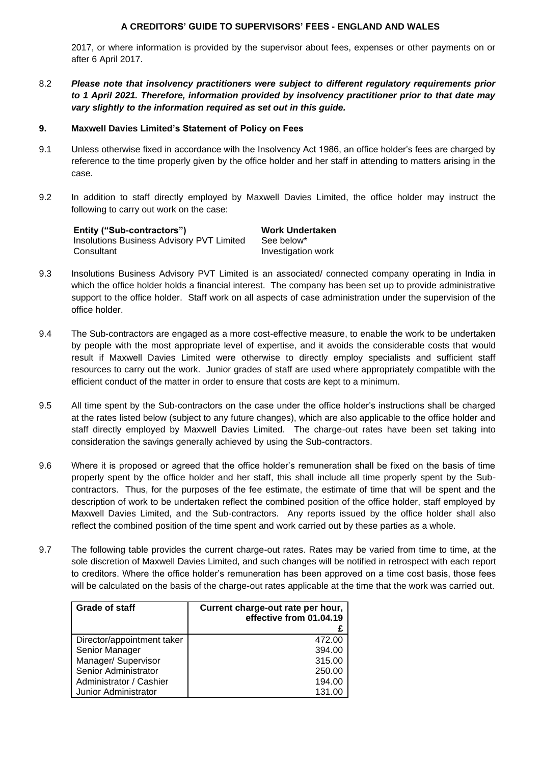2017, or where information is provided by the supervisor about fees, expenses or other payments on or after 6 April 2017.

8.2 *Please note that insolvency practitioners were subject to different regulatory requirements prior to 1 April 2021. Therefore, information provided by insolvency practitioner prior to that date may vary slightly to the information required as set out in this guide.*

#### **9. Maxwell Davies Limited's Statement of Policy on Fees**

- 9.1 Unless otherwise fixed in accordance with the Insolvency Act 1986, an office holder's fees are charged by reference to the time properly given by the office holder and her staff in attending to matters arising in the case.
- 9.2 In addition to staff directly employed by Maxwell Davies Limited, the office holder may instruct the following to carry out work on the case:

| Entity ("Sub-contractors")                | Work Undertaken    |
|-------------------------------------------|--------------------|
| Insolutions Business Advisory PVT Limited | See below*         |
| Consultant                                | Investigation work |

- 9.3 Insolutions Business Advisory PVT Limited is an associated/ connected company operating in India in which the office holder holds a financial interest. The company has been set up to provide administrative support to the office holder. Staff work on all aspects of case administration under the supervision of the office holder.
- 9.4 The Sub-contractors are engaged as a more cost-effective measure, to enable the work to be undertaken by people with the most appropriate level of expertise, and it avoids the considerable costs that would result if Maxwell Davies Limited were otherwise to directly employ specialists and sufficient staff resources to carry out the work. Junior grades of staff are used where appropriately compatible with the efficient conduct of the matter in order to ensure that costs are kept to a minimum.
- 9.5 All time spent by the Sub-contractors on the case under the office holder's instructions shall be charged at the rates listed below (subject to any future changes), which are also applicable to the office holder and staff directly employed by Maxwell Davies Limited. The charge-out rates have been set taking into consideration the savings generally achieved by using the Sub-contractors.
- 9.6 Where it is proposed or agreed that the office holder's remuneration shall be fixed on the basis of time properly spent by the office holder and her staff, this shall include all time properly spent by the Subcontractors. Thus, for the purposes of the fee estimate, the estimate of time that will be spent and the description of work to be undertaken reflect the combined position of the office holder, staff employed by Maxwell Davies Limited, and the Sub-contractors. Any reports issued by the office holder shall also reflect the combined position of the time spent and work carried out by these parties as a whole.
- 9.7 The following table provides the current charge-out rates. Rates may be varied from time to time, at the sole discretion of Maxwell Davies Limited, and such changes will be notified in retrospect with each report to creditors. Where the office holder's remuneration has been approved on a time cost basis, those fees will be calculated on the basis of the charge-out rates applicable at the time that the work was carried out.

| Grade of staff             | Current charge-out rate per hour,<br>effective from 01.04.19 |
|----------------------------|--------------------------------------------------------------|
|                            |                                                              |
| Director/appointment taker | 472.00                                                       |
| Senior Manager             | 394.00                                                       |
| Manager/ Supervisor        | 315.00                                                       |
| Senior Administrator       | 250.00                                                       |
| Administrator / Cashier    | 194.00                                                       |
| Junior Administrator       | 131.00                                                       |